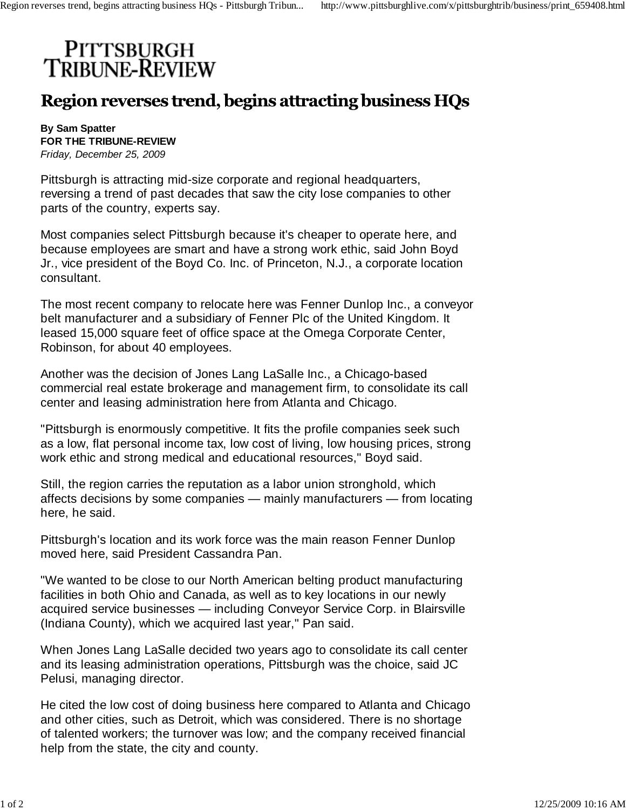## PITTSBURGH<br>TRIBUNE-REVIEW

## Region reverses trend, begins attracting business HQs

**By Sam Spatter FOR THE TRIBUNE-REVIEW** *Friday, December 25, 2009*

Pittsburgh is attracting mid-size corporate and regional headquarters, reversing a trend of past decades that saw the city lose companies to other parts of the country, experts say.

Most companies select Pittsburgh because it's cheaper to operate here, and because employees are smart and have a strong work ethic, said John Boyd Jr., vice president of the Boyd Co. Inc. of Princeton, N.J., a corporate location consultant.

The most recent company to relocate here was Fenner Dunlop Inc., a conveyor belt manufacturer and a subsidiary of Fenner Plc of the United Kingdom. It leased 15,000 square feet of office space at the Omega Corporate Center, Robinson, for about 40 employees.

Another was the decision of Jones Lang LaSalle Inc., a Chicago-based commercial real estate brokerage and management firm, to consolidate its call center and leasing administration here from Atlanta and Chicago.

"Pittsburgh is enormously competitive. It fits the profile companies seek such as a low, flat personal income tax, low cost of living, low housing prices, strong work ethic and strong medical and educational resources," Boyd said.

Still, the region carries the reputation as a labor union stronghold, which affects decisions by some companies — mainly manufacturers — from locating here, he said.

Pittsburgh's location and its work force was the main reason Fenner Dunlop moved here, said President Cassandra Pan.

"We wanted to be close to our North American belting product manufacturing facilities in both Ohio and Canada, as well as to key locations in our newly acquired service businesses — including Conveyor Service Corp. in Blairsville (Indiana County), which we acquired last year," Pan said.

When Jones Lang LaSalle decided two years ago to consolidate its call center and its leasing administration operations, Pittsburgh was the choice, said JC Pelusi, managing director.

He cited the low cost of doing business here compared to Atlanta and Chicago and other cities, such as Detroit, which was considered. There is no shortage of talented workers; the turnover was low; and the company received financial help from the state, the city and county.